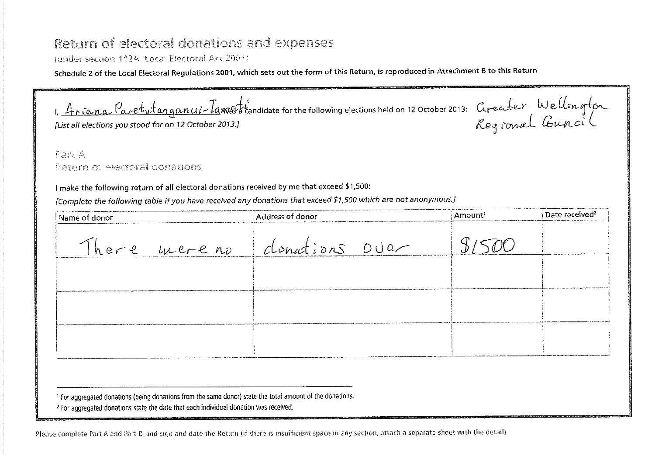## Return of electoral donations and expenses

(under section 112A. Local Electoral Act 2001)

Schedule 2 of the Local Electoral Regulations 2001, which sets out the form of this Return, is reproduced in Attachment B to this Return

1. Ariana Paretutanganui-Iamos tandidate for the following elections held on 12 October 2013: Greater, Wellongton *l*, *It ria na l'are ul angunut - la was a* candidate for the following elections neld on 12 October 2013: Arraccc (Computer 2014)<br>[List all elections you stood for on 12 October 2013.]

Pan A Eering of electoral donations

I make the following return of all electoral donations received by me that exceed \$1,500:

*[Complete the following table if you have received any donations that exceed \$1,500 which are not anonymous.]* 

| Name of donor | Address of donor            | Amount <sup>1</sup> | Date received <sup>2</sup> |
|---------------|-----------------------------|---------------------|----------------------------|
|               | There mereno donations over |                     |                            |
|               |                             |                     |                            |
|               |                             |                     |                            |
|               |                             |                     |                            |
|               |                             |                     |                            |

'For aggregated donations (being donations from the same donor) state the total amount of the donations.

<sup>2</sup> For aggregated donations state the date that each individual donation was received.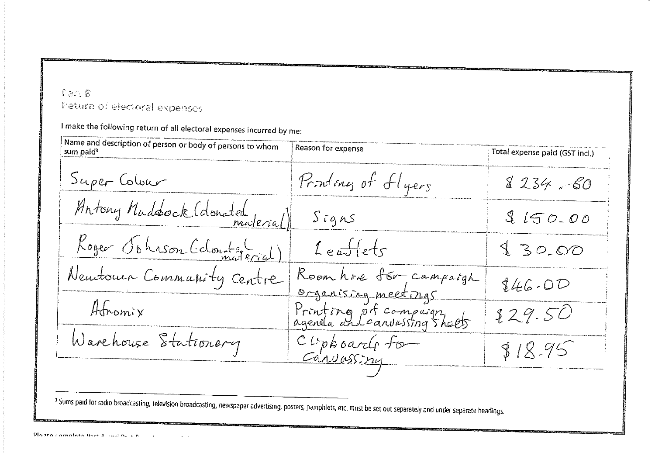## fan R Fieturn of electoral expenses

I make the following return of all electoral expenses incurred by me:

Name and description of person or body of persons to whom Reason for expense sum paid<sup>3</sup> Total expense paid (GST incl.) Super Colour Printing of flyers  $8234.60$ Antony Maddock (donated  $S$ *igns*  $9150.00$ Roger Sohrson (cloute (  $Leff$  $130.00$ Neuronne Commanity Centre Roomhave for campaigh  $$46.00$ organisma meetings Afromix Printing of compaign  $229.50$ Warehouse Stationery Cliphoard for  $818.95$ Carvassmy

<sup>3</sup> Sums paid for radio broadcasting, television broadcasting, newspaper advertising, posters, pamphlets, etc, must be set out separately and under separate headings.